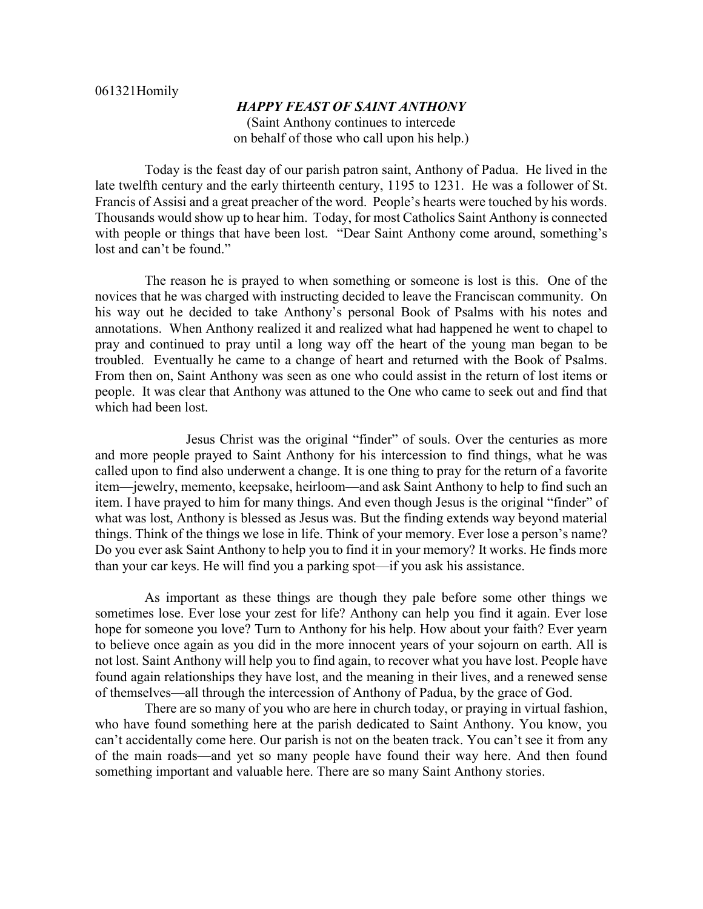## 061321Homily

## *HAPPY FEAST OF SAINT ANTHONY* (Saint Anthony continues to intercede

on behalf of those who call upon his help.)

Today is the feast day of our parish patron saint, Anthony of Padua. He lived in the late twelfth century and the early thirteenth century, 1195 to 1231. He was a follower of St. Francis of Assisi and a great preacher of the word. People's hearts were touched by his words. Thousands would show up to hear him. Today, for most Catholics Saint Anthony is connected with people or things that have been lost. "Dear Saint Anthony come around, something's lost and can't be found."

The reason he is prayed to when something or someone is lost is this. One of the novices that he was charged with instructing decided to leave the Franciscan community. On his way out he decided to take Anthony's personal Book of Psalms with his notes and annotations. When Anthony realized it and realized what had happened he went to chapel to pray and continued to pray until a long way off the heart of the young man began to be troubled. Eventually he came to a change of heart and returned with the Book of Psalms. From then on, Saint Anthony was seen as one who could assist in the return of lost items or people. It was clear that Anthony was attuned to the One who came to seek out and find that which had been lost.

Jesus Christ was the original "finder" of souls. Over the centuries as more and more people prayed to Saint Anthony for his intercession to find things, what he was called upon to find also underwent a change. It is one thing to pray for the return of a favorite item—jewelry, memento, keepsake, heirloom—and ask Saint Anthony to help to find such an item. I have prayed to him for many things. And even though Jesus is the original "finder" of what was lost, Anthony is blessed as Jesus was. But the finding extends way beyond material things. Think of the things we lose in life. Think of your memory. Ever lose a person's name? Do you ever ask Saint Anthony to help you to find it in your memory? It works. He finds more than your car keys. He will find you a parking spot—if you ask his assistance.

As important as these things are though they pale before some other things we sometimes lose. Ever lose your zest for life? Anthony can help you find it again. Ever lose hope for someone you love? Turn to Anthony for his help. How about your faith? Ever yearn to believe once again as you did in the more innocent years of your sojourn on earth. All is not lost. Saint Anthony will help you to find again, to recover what you have lost. People have found again relationships they have lost, and the meaning in their lives, and a renewed sense of themselves—all through the intercession of Anthony of Padua, by the grace of God.

There are so many of you who are here in church today, or praying in virtual fashion, who have found something here at the parish dedicated to Saint Anthony. You know, you can't accidentally come here. Our parish is not on the beaten track. You can't see it from any of the main roads—and yet so many people have found their way here. And then found something important and valuable here. There are so many Saint Anthony stories.